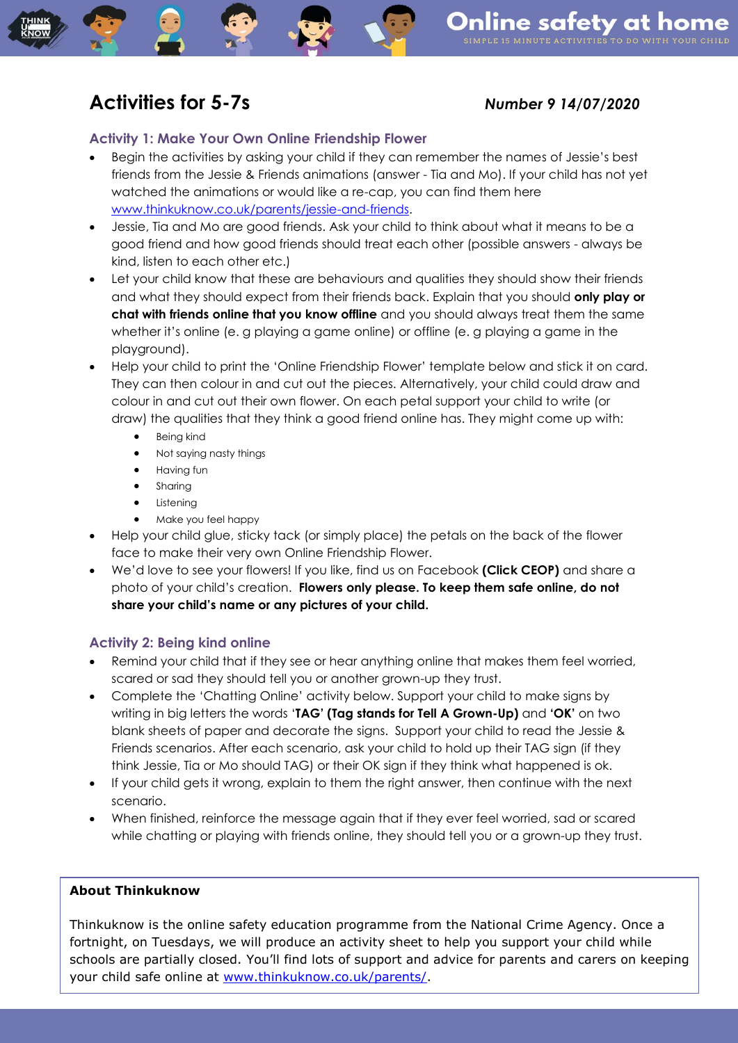# **Activities for 5-7s** *Number 9 14/07/2020*

## **Activity 1: Make Your Own Online Friendship Flower**

- Begin the activities by asking your child if they can remember the names of Jessie's best friends from the Jessie & Friends animations (answer - Tia and Mo). If your child has not yet watched the animations or would like a re-cap, you can find them here [www.thinkuknow.co.uk/parents/jessie-and-friends.](http://www.thinkuknow.co.uk/parents/jessie-and-friends)
- Jessie, Tia and Mo are good friends. Ask your child to think about what it means to be a good friend and how good friends should treat each other (possible answers - always be kind, listen to each other etc.)
- Let your child know that these are behaviours and qualities they should show their friends and what they should expect from their friends back. Explain that you should **only play or chat with friends online that you know offline** and you should always treat them the same whether it's online (e. g playing a game online) or offline (e. g playing a game in the playground).
- Help your child to print the 'Online Friendship Flower' template below and stick it on card. They can then colour in and cut out the pieces. Alternatively, your child could draw and colour in and cut out their own flower. On each petal support your child to write (or draw) the qualities that they think a good friend online has. They might come up with:
	- Being kind
	- Not saying nasty things
	- **•** Having fun
	- Sharing
	- Listening
	- Make you feel happy
- Help your child glue, sticky tack (or simply place) the petals on the back of the flower face to make their very own Online Friendship Flower.
- We'd love to see your flowers! If you like, find us on Facebook **(Click CEOP)** and share a photo of your child's creation. **Flowers only please. To keep them safe online, do not share your child's name or any pictures of your child.**

# **Activity 2: Being kind online**

- Remind your child that if they see or hear anything online that makes them feel worried, scared or sad they should tell you or another grown-up they trust.
- Complete the 'Chatting Online' activity below. Support your child to make signs by writing in big letters the words '**TAG' (Tag stands for Tell A Grown-Up)** and **'OK'** on two blank sheets of paper and decorate the signs. Support your child to read the Jessie & Friends scenarios. After each scenario, ask your child to hold up their TAG sign (if they think Jessie, Tia or Mo should TAG) or their OK sign if they think what happened is ok.
- If your child gets it wrong, explain to them the right answer, then continue with the next scenario.
- When finished, reinforce the message again that if they ever feel worried, sad or scared while chatting or playing with friends online, they should tell you or a grown-up they trust.

### **About Thinkuknow**

Thinkuknow is the online safety education programme from the National Crime Agency. Once a fortnight, on Tuesdays, we will produce an activity sheet to help you support your child while schools are partially closed. You'll find lots of support and advice for parents and carers on keeping your child safe online at [www.thinkuknow.co.uk/parents/.](http://www.thinkuknow.co.uk/parents/)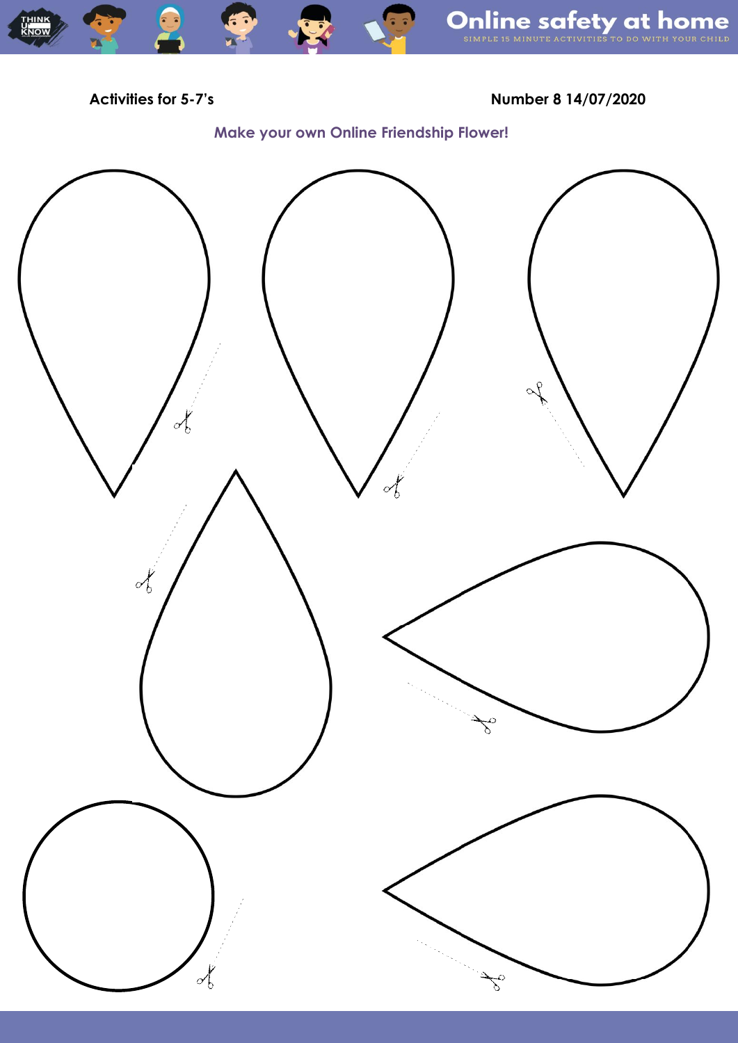**THINK**<br>KNOW

**Activities for 5-7's Number 8 14/07/2020**